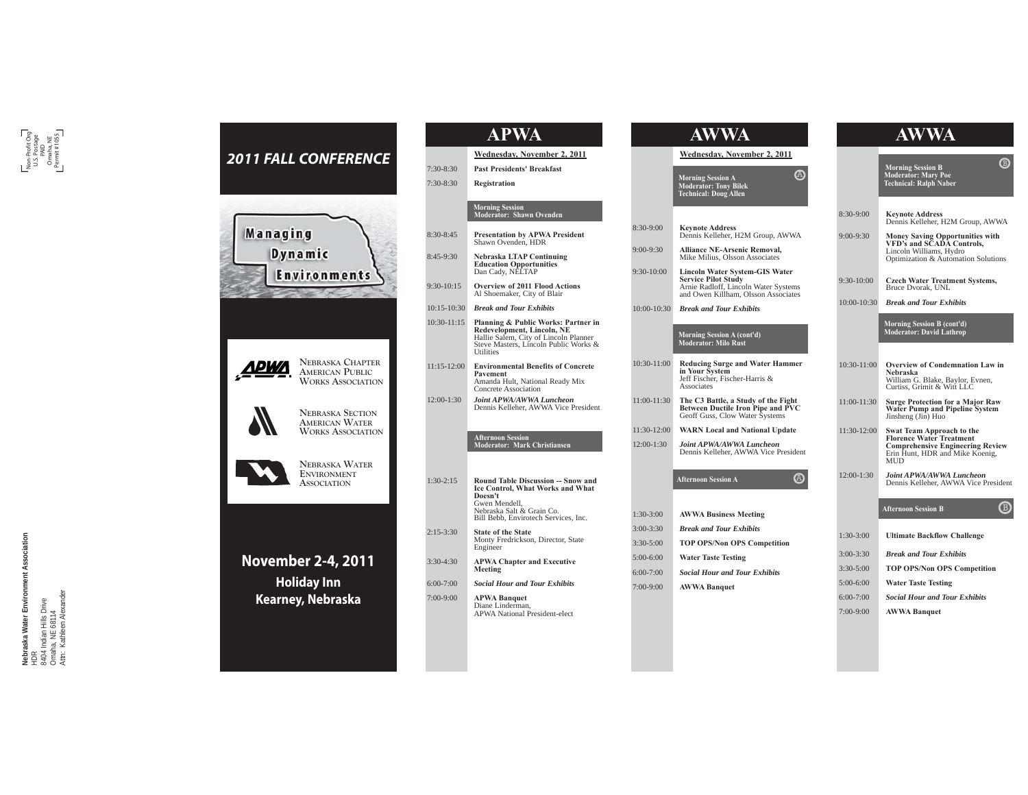

| 7:30-8:30<br>7:30-8:30 | Wednesday, November 2, 2011<br><b>Past Presidents' Breakfast</b>                                                                                                        |
|------------------------|-------------------------------------------------------------------------------------------------------------------------------------------------------------------------|
|                        |                                                                                                                                                                         |
|                        |                                                                                                                                                                         |
|                        | Registration                                                                                                                                                            |
|                        | <b>Morning Session</b><br>Moderator: Shawn Ovenden                                                                                                                      |
| 8:30-8:45              | <b>Presentation by APWA President</b><br>Shawn Ovenden, HDR                                                                                                             |
| 8:45-9:30              | <b>Nebraska LTAP Continuing</b><br><b>Education Opportunities</b><br>Dan Cady, NELTAP                                                                                   |
| $9:30-10:15$           | <b>Overview of 2011 Flood Actions</b><br>Al Shoemaker, City of Blair                                                                                                    |
| $10:15 - 10:30$        | <b>Break and Tour Exhibits</b>                                                                                                                                          |
| 10:30-11:15            | Planning & Public Works: Partner in<br>Redevelopment, Lincoln, NE<br>Hallie Salem, City of Lincoln Planner<br>Steve Masters, Lincoln Public Works &<br>Utilities        |
| $11:15-12:00$          | <b>Environmental Benefits of Concrete</b><br>Pavement<br>Amanda Hult, National Ready Mix<br>Concrete Association                                                        |
| 12:00-1:30             | Joint APWA/AWWA Luncheon<br>Dennis Kelleher, AWWA Vice President                                                                                                        |
|                        | <b>Afternoon Session</b><br>Moderator: Mark Christiansen                                                                                                                |
|                        |                                                                                                                                                                         |
| $1:30-2:15$            | Round Table Discussion -- Snow and<br>Ice Control, What Works and What<br>Doesn't<br>Gwen Mendell,<br>Nebraska Salt & Grain Co.<br>Bill Bebb, Envirotech Services, Inc. |
| 2:15-3:30              | <b>State of the State</b><br>Monty Fredrickson, Director, State<br>Engineer                                                                                             |
| 3:30-4:30              | <b>APWA Chapter and Executive</b><br>Meeting                                                                                                                            |
| $6:00-7:00$            | <b>Social Hour and Tour Exhibits</b>                                                                                                                                    |
| 7:00-9:00              | <b>APWA Banquet</b><br>Diane Linderman,                                                                                                                                 |

# **AWWA AWWA**

**Wednesday, November 2, 2011**

A

 $\circledR$ 

 **Morning Session A Moderator: Tony Bilek Technical: Doug Allen** 

- 8:30-9:00 **Keynote Address** Dennis Kelleher, H2M Group, AWWA
- 9:00-9:30 **Alliance NE-Arsenic Removal,**  Mike Milius, Olsson Associates 9:30-10:00 **Lincoln Water System-GIS Water Service Pilot Study<br>
Arnie Radloff, Lincoln Water Systems**
- and Owen Killham, Olsson Associates 10:00-10:30 *Break and Tour Exhibits*

# **Morning Session A (cont'd) Moderator: Milo Rust**

- 10:30-11:00 **Reducing Surge and Water Hammer in Your System**  Jeff Fischer, Fischer-Harris & **Associates**
- 11:00-11:30 **The C3 Battle, a Study of the Fight Between Ductile Iron Pipe and PVC**  Geoff Guss, Clow Water Systems
- 11:30-12:00 **WARN Local and National Update**  12:00-1:30 *Joint APWA/AWWA Luncheon* 
	- Dennis Kelleher, AWWA Vice President

#### **Afternoon Session A**

| $1:30-3:00$   | <b>AWWA Business Meeting</b>         |
|---------------|--------------------------------------|
| $3:00 - 3:30$ | <b>Break and Tour Exhibits</b>       |
| $3:30 - 5:00$ | <b>TOP OPS/Non OPS Competition</b>   |
| $5:00-6:00$   | <b>Water Taste Testing</b>           |
| $6:00 - 7:00$ | <b>Social Hour and Tour Exhibits</b> |
| $7:00-9:00$   | <b>AWWA Banquet</b>                  |
|               |                                      |

|                 | ⊕<br><b>Morning Session B</b><br><b>Moderator: Mary Poe</b><br><b>Technical: Ralph Naber</b>                                                              |
|-----------------|-----------------------------------------------------------------------------------------------------------------------------------------------------------|
|                 |                                                                                                                                                           |
| $8:30-9:00$     | <b>Keynote Address</b><br>Dennis Kelleher, H2M Group, AWWA                                                                                                |
| $9:00-9:30$     | Money Saving Opportunities with<br>VFD's and SCADA Controls,<br>Lincoln Williams, Hydro<br>Optimization & Automation Solutions                            |
| $9:30-10:00$    | <b>Czech Water Treatment Systems,</b><br>Bruce Dvorak, UNL                                                                                                |
| 10:00-10:30     | <b>Break and Tour Exhibits</b>                                                                                                                            |
|                 | Morning Session B (cont'd)<br><b>Moderator: David Lathrop</b>                                                                                             |
|                 |                                                                                                                                                           |
| 10:30-11:00     | <b>Overview of Condemnation Law in</b><br>Nebraska<br>William G. Blake, Baylor, Evnen,<br>Curtiss, Grimit & Witt LLC                                      |
| $11:00 - 11:30$ | <b>Surge Protection for a Major Raw</b><br>Water Pump and Pipeline System<br>Jinsheng (Jin) Huo                                                           |
| 11:30-12:00     | Swat Team Approach to the<br><b>Florence Water Treatment</b><br><b>Comprehensive Engineering Review</b><br>Erin Hunt, HDR and Mike Koenig,<br><b>MIID</b> |
| 12:00-1:30      | Joint APWA/AWWA Luncheon<br>Dennis Kelleher, AWWA Vice President                                                                                          |
|                 | <b>Afternoon Session B</b>                                                                                                                                |
| $1:30-3:00$     | <b>Ultimate Backflow Challenge</b>                                                                                                                        |
| 3:00-3:30       | <b>Break and Tour Exhibits</b>                                                                                                                            |
| $3:30 - 5:00$   | <b>TOP OPS/Non OPS Competition</b>                                                                                                                        |
| $5:00-6:00$     | <b>Water Taste Testing</b>                                                                                                                                |

- 6:00-7:00 *Social Hour and Tour Exhibits*
- 7:00-9:00 **AWWA Banquet**